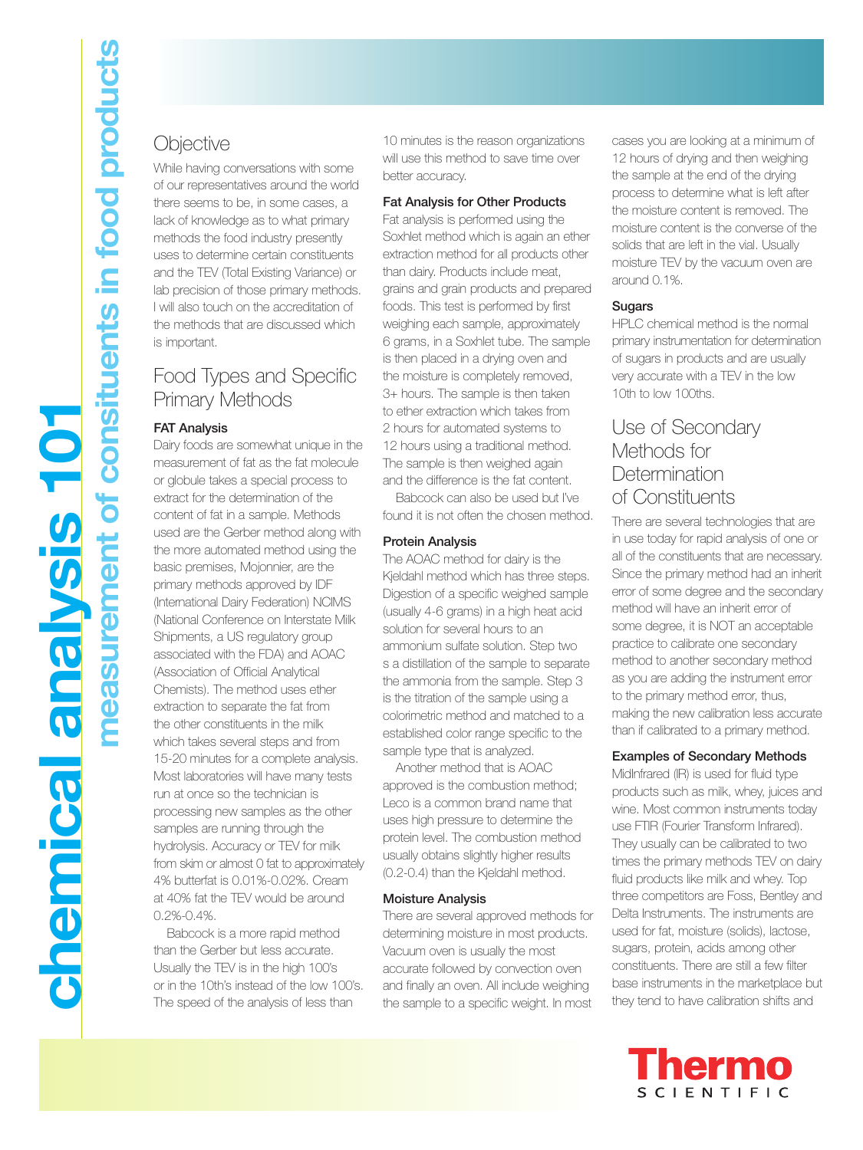# **Objective**

While having conversations with some of our representatives around the world there seems to be, in some cases, a lack of knowledge as to what primary methods the food industry presently uses to determine certain constituents and the TEV (Total Existing Variance) or lab precision of those primary methods. I will also touch on the accreditation of the methods that are discussed which is important.

## Food Types and Specific Primary Methods

## **FAT Analysis**

Dairy foods are somewhat unique in the measurement of fat as the fat molecule or globule takes a special process to extract for the determination of the content of fat in a sample. Methods used are the Gerber method along with the more automated method using the basic premises, Mojonnier, are the primary methods approved by IDF (International Dairy Federation) NCIMS (National Conference on Interstate Milk Shipments, a US regulatory group associated with the FDA) and AOAC (Association of Official Analytical Chemists). The method uses ether extraction to separate the fat from the other constituents in the milk which takes several steps and from 15-20 minutes for a complete analysis. Most laboratories will have many tests run at once so the technician is processing new samples as the other samples are running through the hydrolysis. Accuracy or TEV for milk from skim or almost 0 fat to approximately 4% butterfat is 0.01%-0.02%. Cream at 40% fat the TEV would be around 0.2%-0.4%.

Babcock is a more rapid method than the Gerber but less accurate. Usually the TEV is in the high 100's or in the 10th's instead of the low 100's. The speed of the analysis of less than

10 minutes is the reason organizations will use this method to save time over better accuracy.

## **Fat Analysis for Other Products**

Fat analysis is performed using the Soxhlet method which is again an ether extraction method for all products other than dairy. Products include meat, grains and grain products and prepared foods. This test is performed by first weighing each sample, approximately 6 grams, in a Soxhlet tube. The sample is then placed in a drying oven and the moisture is completely removed, 3+ hours. The sample is then taken to ether extraction which takes from 2 hours for automated systems to 12 hours using a traditional method. The sample is then weighed again and the difference is the fat content.

Babcock can also be used but I've found it is not often the chosen method.

## **Protein Analysis**

The AOAC method for dairy is the Kjeldahl method which has three steps. Digestion of a specific weighed sample (usually 4-6 grams) in a high heat acid solution for several hours to an ammonium sulfate solution. Step two s a distillation of the sample to separate the ammonia from the sample. Step 3 is the titration of the sample using a colorimetric method and matched to a established color range specific to the sample type that is analyzed.

Another method that is AOAC approved is the combustion method; Leco is a common brand name that uses high pressure to determine the protein level. The combustion method usually obtains slightly higher results (0.2-0.4) than the Kjeldahl method.

## **Moisture Analysis**

There are several approved methods for determining moisture in most products. Vacuum oven is usually the most accurate followed by convection oven and finally an oven. All include weighing the sample to a specific weight. In most

cases you are looking at a minimum of 12 hours of drying and then weighing the sample at the end of the drying process to determine what is left after the moisture content is removed. The moisture content is the converse of the solids that are left in the vial. Usually moisture TEV by the vacuum oven are around 0.1%.

## **Sugars**

HPLC chemical method is the normal primary instrumentation for determination of sugars in products and are usually very accurate with a TEV in the low 10th to low 100ths.

## Use of Secondary Methods for **Determination** of Constituents

There are several technologies that are in use today for rapid analysis of one or all of the constituents that are necessary. Since the primary method had an inherit error of some degree and the secondary method will have an inherit error of some degree, it is NOT an acceptable practice to calibrate one secondary method to another secondary method as you are adding the instrument error to the primary method error, thus, making the new calibration less accurate than if calibrated to a primary method.

## **Examples of Secondary Methods**

MidInfrared (IR) is used for fluid type products such as milk, whey, juices and wine. Most common instruments today use FTIR (Fourier Transform Infrared). They usually can be calibrated to two times the primary methods TEV on dairy fluid products like milk and whey. Top three competitors are Foss, Bentley and Delta Instruments. The instruments are used for fat, moisture (solids), lactose, sugars, protein, acids among other constituents. There are still a few filter base instruments in the marketplace but they tend to have calibration shifts and